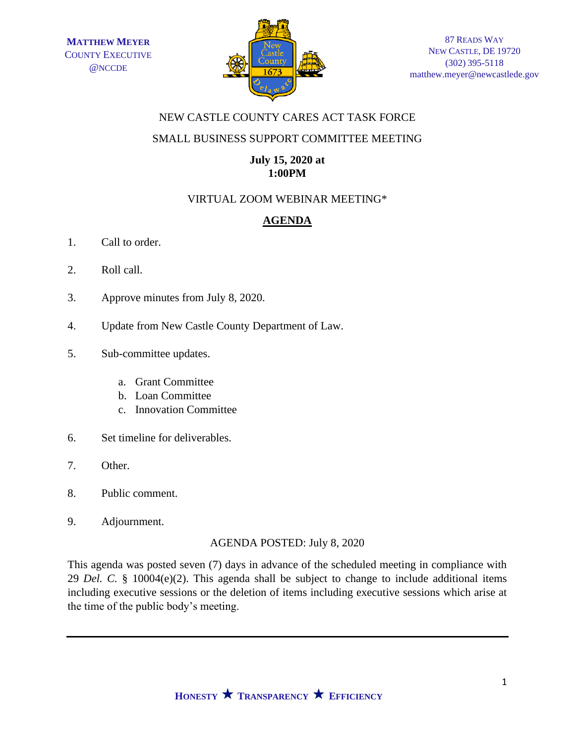

# NEW CASTLE COUNTY CARES ACT TASK FORCE

### SMALL BUSINESS SUPPORT COMMITTEE MEETING

## **July 15, 2020 at 1:00PM**

# VIRTUAL ZOOM WEBINAR MEETING\*

# **AGENDA**

- 1. Call to order.
- 2. Roll call.
- 3. Approve minutes from July 8, 2020.
- 4. Update from New Castle County Department of Law.
- 5. Sub-committee updates.
	- a. Grant Committee
	- b. Loan Committee
	- c. Innovation Committee
- 6. Set timeline for deliverables.
- 7. Other.
- 8. Public comment.
- 9. Adjournment.

#### AGENDA POSTED: July 8, 2020

This agenda was posted seven (7) days in advance of the scheduled meeting in compliance with 29 *Del. C.* § 10004(e)(2). This agenda shall be subject to change to include additional items including executive sessions or the deletion of items including executive sessions which arise at the time of the public body's meeting.